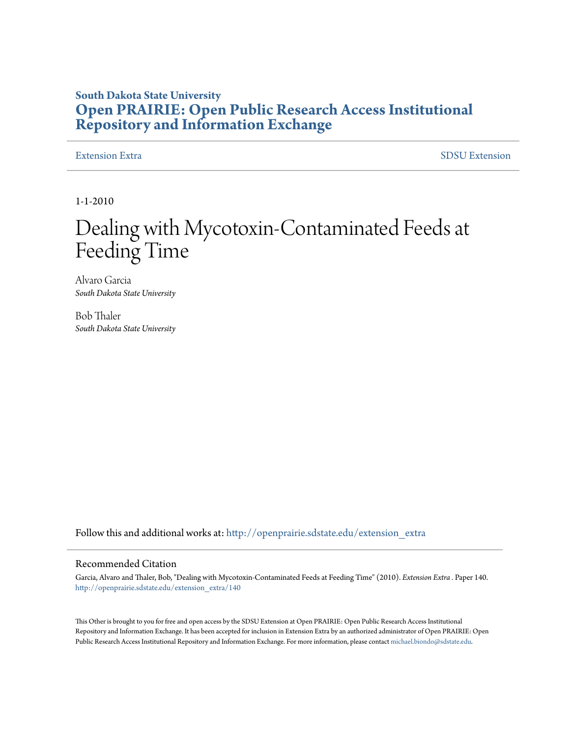### **South Dakota State University [Open PRAIRIE: Open Public Research Access Institutional](http://openprairie.sdstate.edu?utm_source=openprairie.sdstate.edu%2Fextension_extra%2F140&utm_medium=PDF&utm_campaign=PDFCoverPages) [Repository and Information Exchange](http://openprairie.sdstate.edu?utm_source=openprairie.sdstate.edu%2Fextension_extra%2F140&utm_medium=PDF&utm_campaign=PDFCoverPages)**

[Extension Extra](http://openprairie.sdstate.edu/extension_extra?utm_source=openprairie.sdstate.edu%2Fextension_extra%2F140&utm_medium=PDF&utm_campaign=PDFCoverPages)  $SDSU$  Extension

1-1-2010

## Dealing with Mycotoxin-Contaminated Feeds at Feeding Time

Alvaro Garcia *South Dakota State University*

Bob Thaler *South Dakota State University*

Follow this and additional works at: [http://openprairie.sdstate.edu/extension\\_extra](http://openprairie.sdstate.edu/extension_extra?utm_source=openprairie.sdstate.edu%2Fextension_extra%2F140&utm_medium=PDF&utm_campaign=PDFCoverPages)

#### Recommended Citation

Garcia, Alvaro and Thaler, Bob, "Dealing with Mycotoxin-Contaminated Feeds at Feeding Time" (2010). *Extension Extra .* Paper 140. [http://openprairie.sdstate.edu/extension\\_extra/140](http://openprairie.sdstate.edu/extension_extra/140?utm_source=openprairie.sdstate.edu%2Fextension_extra%2F140&utm_medium=PDF&utm_campaign=PDFCoverPages)

This Other is brought to you for free and open access by the SDSU Extension at Open PRAIRIE: Open Public Research Access Institutional Repository and Information Exchange. It has been accepted for inclusion in Extension Extra by an authorized administrator of Open PRAIRIE: Open Public Research Access Institutional Repository and Information Exchange. For more information, please contact [michael.biondo@sdstate.edu](mailto:michael.biondo@sdstate.edu).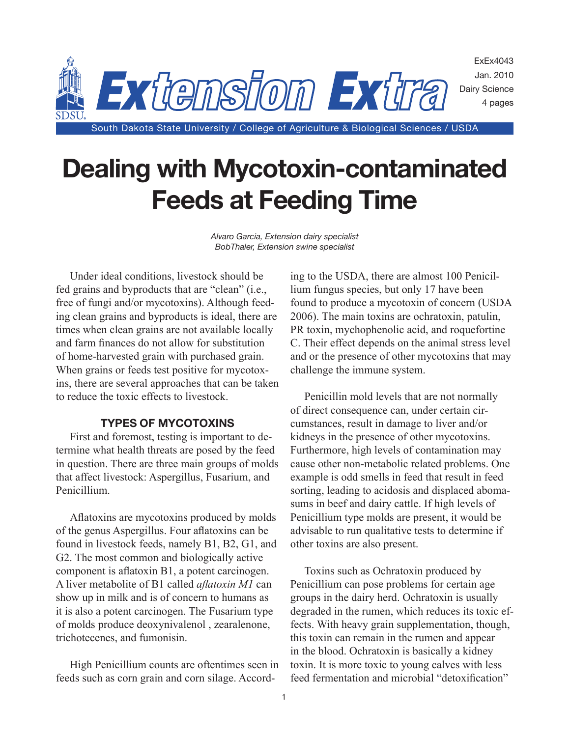

# **Dealing with Mycotoxin-contaminated Feeds at Feeding Time**

*Alvaro Garcia, Extension dairy specialist BobThaler, Extension swine specialist*

Under ideal conditions, livestock should be fed grains and byproducts that are "clean" (i.e., free of fungi and/or mycotoxins). Although feeding clean grains and byproducts is ideal, there are times when clean grains are not available locally and farm finances do not allow for substitution of home-harvested grain with purchased grain. When grains or feeds test positive for mycotoxins, there are several approaches that can be taken to reduce the toxic effects to livestock.

#### **TYPES OF MYCOTOXINS**

First and foremost, testing is important to determine what health threats are posed by the feed in question. There are three main groups of molds that affect livestock: Aspergillus, Fusarium, and Penicillium.

Aflatoxins are mycotoxins produced by molds of the genus Aspergillus. Four aflatoxins can be found in livestock feeds, namely B1, B2, G1, and G2. The most common and biologically active component is aflatoxin B1, a potent carcinogen. A liver metabolite of B1 called *aflatoxin M1* can show up in milk and is of concern to humans as it is also a potent carcinogen. The Fusarium type of molds produce deoxynivalenol , zearalenone, trichotecenes, and fumonisin.

High Penicillium counts are oftentimes seen in feeds such as corn grain and corn silage. According to the USDA, there are almost 100 Penicillium fungus species, but only 17 have been found to produce a mycotoxin of concern (USDA 2006). The main toxins are ochratoxin, patulin, PR toxin, mychophenolic acid, and roquefortine C. Their effect depends on the animal stress level and or the presence of other mycotoxins that may challenge the immune system.

Penicillin mold levels that are not normally of direct consequence can, under certain circumstances, result in damage to liver and/or kidneys in the presence of other mycotoxins. Furthermore, high levels of contamination may cause other non-metabolic related problems. One example is odd smells in feed that result in feed sorting, leading to acidosis and displaced abomasums in beef and dairy cattle. If high levels of Penicillium type molds are present, it would be advisable to run qualitative tests to determine if other toxins are also present.

Toxins such as Ochratoxin produced by Penicillium can pose problems for certain age groups in the dairy herd. Ochratoxin is usually degraded in the rumen, which reduces its toxic effects. With heavy grain supplementation, though, this toxin can remain in the rumen and appear in the blood. Ochratoxin is basically a kidney toxin. It is more toxic to young calves with less feed fermentation and microbial "detoxification"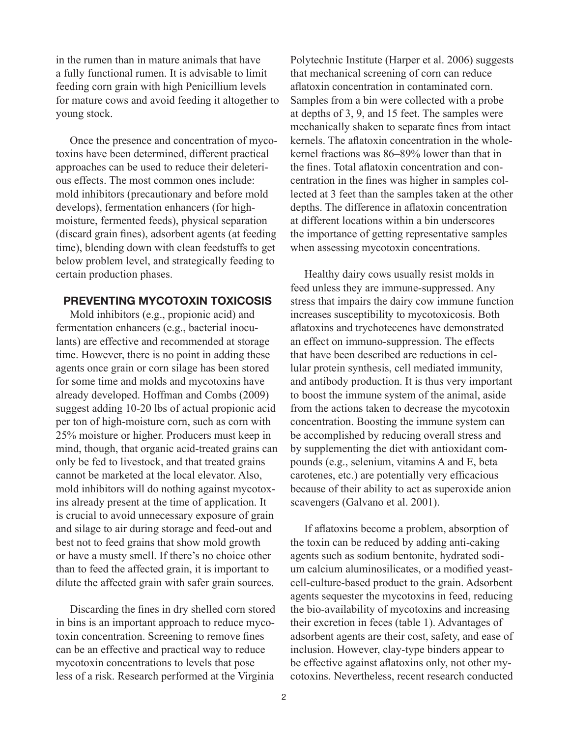in the rumen than in mature animals that have a fully functional rumen. It is advisable to limit feeding corn grain with high Penicillium levels for mature cows and avoid feeding it altogether to young stock.

Once the presence and concentration of mycotoxins have been determined, different practical approaches can be used to reduce their deleterious effects. The most common ones include: mold inhibitors (precautionary and before mold develops), fermentation enhancers (for highmoisture, fermented feeds), physical separation (discard grain fines), adsorbent agents (at feeding time), blending down with clean feedstuffs to get below problem level, and strategically feeding to certain production phases.

#### **PREVENTING MYCOTOXIN TOXICOSIS**

Mold inhibitors (e.g., propionic acid) and fermentation enhancers (e.g., bacterial inoculants) are effective and recommended at storage time. However, there is no point in adding these agents once grain or corn silage has been stored for some time and molds and mycotoxins have already developed. Hoffman and Combs (2009) suggest adding 10-20 lbs of actual propionic acid per ton of high-moisture corn, such as corn with 25% moisture or higher. Producers must keep in mind, though, that organic acid-treated grains can only be fed to livestock, and that treated grains cannot be marketed at the local elevator. Also, mold inhibitors will do nothing against mycotoxins already present at the time of application. It is crucial to avoid unnecessary exposure of grain and silage to air during storage and feed-out and best not to feed grains that show mold growth or have a musty smell. If there's no choice other than to feed the affected grain, it is important to dilute the affected grain with safer grain sources.

Discarding the fines in dry shelled corn stored in bins is an important approach to reduce mycotoxin concentration. Screening to remove fines can be an effective and practical way to reduce mycotoxin concentrations to levels that pose less of a risk. Research performed at the Virginia

Polytechnic Institute (Harper et al. 2006) suggests that mechanical screening of corn can reduce aflatoxin concentration in contaminated corn. Samples from a bin were collected with a probe at depths of 3, 9, and 15 feet. The samples were mechanically shaken to separate fines from intact kernels. The aflatoxin concentration in the wholekernel fractions was 86–89% lower than that in the fines. Total aflatoxin concentration and concentration in the fines was higher in samples collected at 3 feet than the samples taken at the other depths. The difference in aflatoxin concentration at different locations within a bin underscores the importance of getting representative samples when assessing mycotoxin concentrations.

Healthy dairy cows usually resist molds in feed unless they are immune-suppressed. Any stress that impairs the dairy cow immune function increases susceptibility to mycotoxicosis. Both aflatoxins and trychotecenes have demonstrated an effect on immuno-suppression. The effects that have been described are reductions in cellular protein synthesis, cell mediated immunity, and antibody production. It is thus very important to boost the immune system of the animal, aside from the actions taken to decrease the mycotoxin concentration. Boosting the immune system can be accomplished by reducing overall stress and by supplementing the diet with antioxidant compounds (e.g., selenium, vitamins A and E, beta carotenes, etc.) are potentially very efficacious because of their ability to act as superoxide anion scavengers (Galvano et al. 2001).

If aflatoxins become a problem, absorption of the toxin can be reduced by adding anti-caking agents such as sodium bentonite, hydrated sodium calcium aluminosilicates, or a modified yeastcell-culture-based product to the grain. Adsorbent agents sequester the mycotoxins in feed, reducing the bio-availability of mycotoxins and increasing their excretion in feces (table 1). Advantages of adsorbent agents are their cost, safety, and ease of inclusion. However, clay-type binders appear to be effective against aflatoxins only, not other mycotoxins. Nevertheless, recent research conducted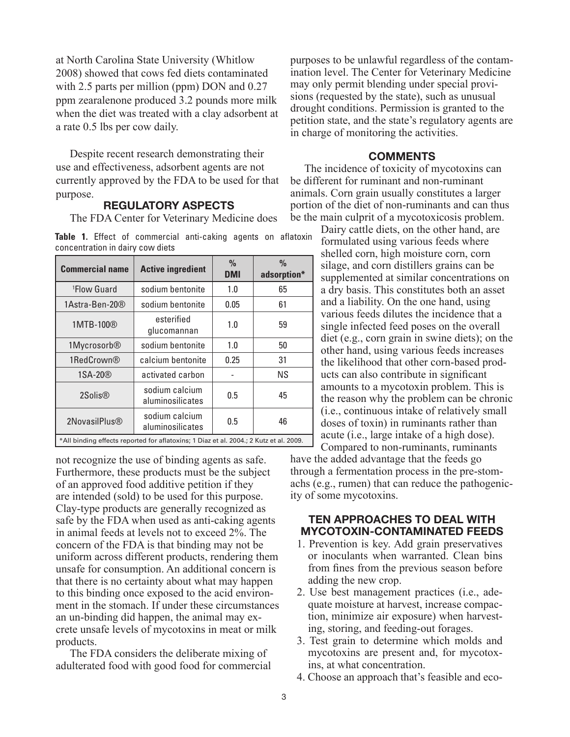at North Carolina State University (Whitlow 2008) showed that cows fed diets contaminated with 2.5 parts per million (ppm) DON and  $0.27$ ppm zearalenone produced 3.2 pounds more milk when the diet was treated with a clay adsorbent at a rate 0.5 lbs per cow daily.

Despite recent research demonstrating their use and effectiveness, adsorbent agents are not currently approved by the FDA to be used for that purpose.

#### **REGULATORY ASPECTS**

The FDA Center for Veterinary Medicine does

**Table 1.** Effect of commercial anti-caking agents on aflatoxin concentration in dairy cow diets

| <b>Commercial name</b>                                                                 | <b>Active ingredient</b>           | $\frac{0}{0}$<br><b>DMI</b> | $\frac{0}{0}$<br>adsorption* |
|----------------------------------------------------------------------------------------|------------------------------------|-----------------------------|------------------------------|
| <sup>1</sup> Flow Guard                                                                | sodium bentonite                   | 1.0                         | 65                           |
| 1Astra-Ben-20®                                                                         | sodium bentonite                   | 0.05                        | 61                           |
| 1MTB-100®                                                                              | esterified<br>glucomannan          | 1.0                         | 59                           |
| 1Mycrosorb <sup>®</sup>                                                                | sodium bentonite                   | 1.0                         | 50                           |
| 1RedCrown®                                                                             | calcium bentonite                  | 0.25                        | 31                           |
| 1SA-20 <sup>®</sup>                                                                    | activated carbon                   |                             | NS.                          |
| 2Solis <sup>®</sup>                                                                    | sodium calcium<br>aluminosilicates | 0.5                         | 45                           |
| 2NovasilPlus®                                                                          | sodium calcium<br>aluminosilicates | 0.5                         | 46                           |
| *All binding effects reported for aflatoxins; 1 Diaz et al. 2004.; 2 Kutz et al. 2009. |                                    |                             |                              |

not recognize the use of binding agents as safe. Furthermore, these products must be the subject of an approved food additive petition if they are intended (sold) to be used for this purpose. Clay-type products are generally recognized as safe by the FDA when used as anti-caking agents in animal feeds at levels not to exceed 2%. The concern of the FDA is that binding may not be uniform across different products, rendering them unsafe for consumption. An additional concern is that there is no certainty about what may happen to this binding once exposed to the acid environment in the stomach. If under these circumstances an un-binding did happen, the animal may excrete unsafe levels of mycotoxins in meat or milk products.

The FDA considers the deliberate mixing of adulterated food with good food for commercial purposes to be unlawful regardless of the contamination level. The Center for Veterinary Medicine may only permit blending under special provisions (requested by the state), such as unusual drought conditions. Permission is granted to the petition state, and the state's regulatory agents are in charge of monitoring the activities.

#### **COMMENTS**

The incidence of toxicity of mycotoxins can be different for ruminant and non-ruminant animals. Corn grain usually constitutes a larger portion of the diet of non-ruminants and can thus be the main culprit of a mycotoxicosis problem.

> Dairy cattle diets, on the other hand, are formulated using various feeds where shelled corn, high moisture corn, corn silage, and corn distillers grains can be supplemented at similar concentrations on a dry basis. This constitutes both an asset and a liability. On the one hand, using various feeds dilutes the incidence that a single infected feed poses on the overall diet (e.g., corn grain in swine diets); on the other hand, using various feeds increases the likelihood that other corn-based products can also contribute in significant amounts to a mycotoxin problem. This is the reason why the problem can be chronic (i.e., continuous intake of relatively small doses of toxin) in ruminants rather than acute (i.e., large intake of a high dose). Compared to non-ruminants, ruminants

have the added advantage that the feeds go through a fermentation process in the pre-stomachs (e.g., rumen) that can reduce the pathogenicity of some mycotoxins.

#### **TEN APPROACHES TO DEAL WITH MYCOTOXIN-CONTAMINATED FEEDS**

- 1. Prevention is key. Add grain preservatives or inoculants when warranted. Clean bins from fines from the previous season before adding the new crop.
- 2. Use best management practices (i.e., adequate moisture at harvest, increase compaction, minimize air exposure) when harvesting, storing, and feeding-out forages.
- 3. Test grain to determine which molds and mycotoxins are present and, for mycotoxins, at what concentration.
- 4. Choose an approach that's feasible and eco-